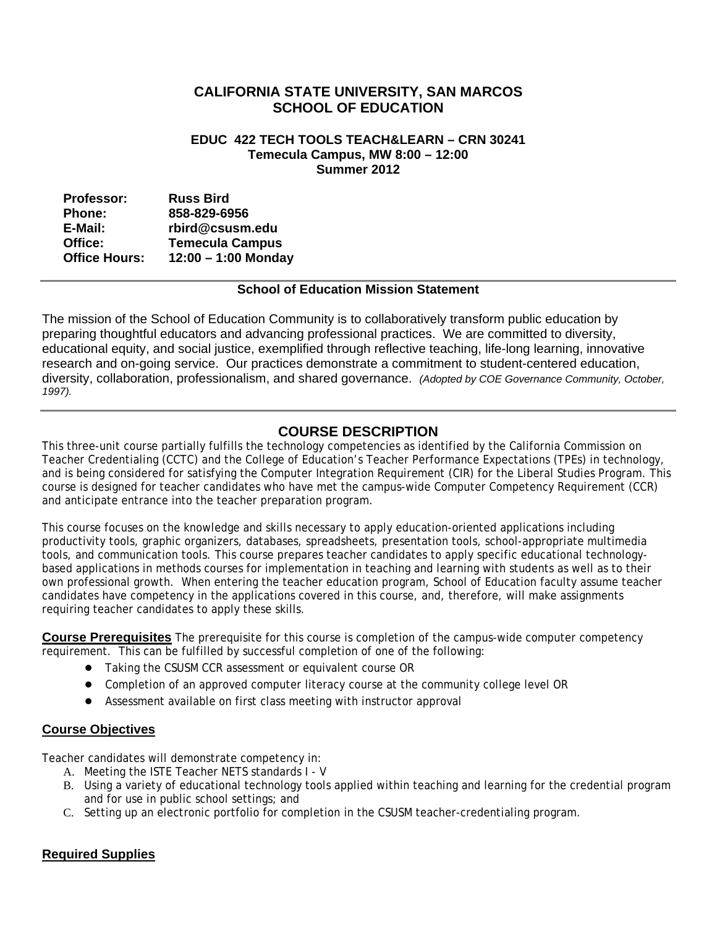# **CALIFORNIA STATE UNIVERSITY, SAN MARCOS SCHOOL OF EDUCATION**

#### **EDUC 422 TECH TOOLS TEACH&LEARN – CRN 30241 Temecula Campus, MW 8:00 – 12:00 Summer 2012**

| <b>Professor:</b>    | <b>Russ Bird</b>       |
|----------------------|------------------------|
| <b>Phone:</b>        | 858-829-6956           |
| E-Mail:              | rbird@csusm.edu        |
| Office:              | <b>Temecula Campus</b> |
| <b>Office Hours:</b> | $12:00 - 1:00$ Monday  |

#### **School of Education Mission Statement**

The mission of the School of Education Community is to collaboratively transform public education by preparing thoughtful educators and advancing professional practices. We are committed to diversity, educational equity, and social justice, exemplified through reflective teaching, life-long learning, innovative research and on-going service. Our practices demonstrate a commitment to student-centered education, diversity, collaboration, professionalism, and shared governance. *(Adopted by COE Governance Community, October, 1997).* 

# **COURSE DESCRIPTION**

This three-unit course partially fulfills the technology competencies as identified by the California Commission on Teacher Credentialing (CCTC) and the College of Education's Teacher Performance Expectations (TPEs) in technology, and is being considered for satisfying the Computer Integration Requirement (CIR) for the Liberal Studies Program. This course is designed for teacher candidates who have met the campus-wide Computer Competency Requirement (CCR) and anticipate entrance into the teacher preparation program.

This course focuses on the knowledge and skills necessary to apply education-oriented applications including productivity tools, graphic organizers, databases, spreadsheets, presentation tools, school-appropriate multimedia tools, and communication tools. This course prepares teacher candidates to apply specific educational technologybased applications in methods courses for implementation in teaching and learning with students as well as to their own professional growth. When entering the teacher education program, School of Education faculty assume teacher candidates have competency in the applications covered in this course, and, therefore, will make assignments requiring teacher candidates to apply these skills.

**Course Prerequisites** The prerequisite for this course is completion of the campus-wide computer competency requirement. This can be fulfilled by successful completion of one of the following:

- **●** Taking the CSUSM CCR assessment or equivalent course OR
- **●** Completion of an approved computer literacy course at the community college level OR
- **●** Assessment available on first class meeting with instructor approval

#### **Course Objectives**

Teacher candidates will demonstrate competency in:

- A. Meeting the ISTE Teacher NETS standards I V
- B. Using a variety of educational technology tools applied within teaching and learning for the credential program and for use in public school settings; and
- C. Setting up an electronic portfolio for completion in the CSUSM teacher-credentialing program.

# **Required Supplies**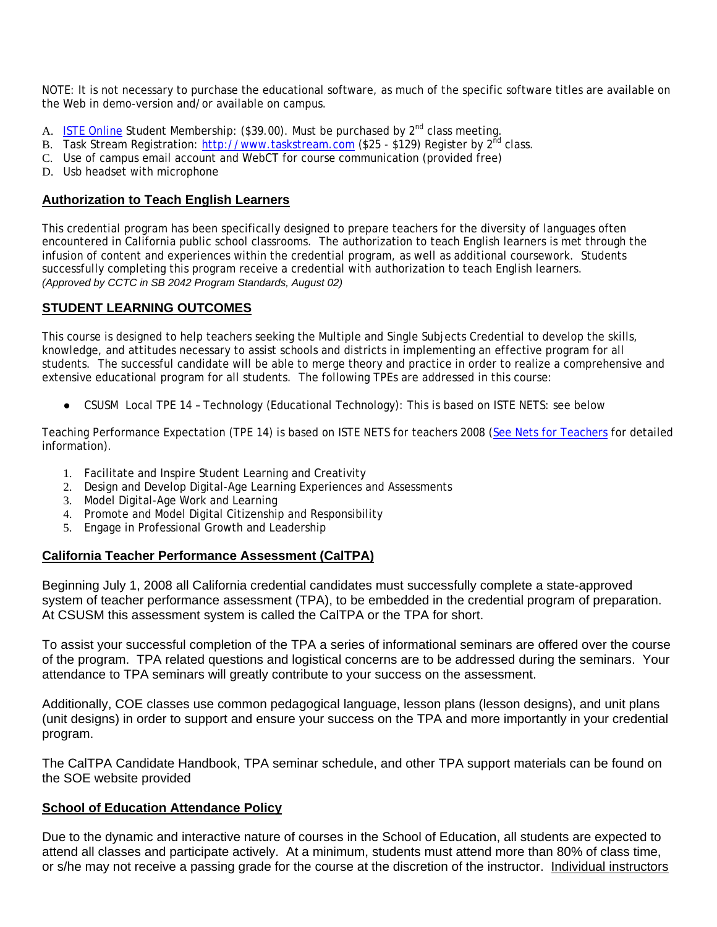NOTE: It is not necessary to purchase the educational software, as much of the specific software titles are available on the Web in demo-version and/or available on campus.

- A. ISTE Online Student Membership:  $(\$39.00)$ . Must be purchased by  $2^{nd}$  class meeting.
- B. Task Stream Registration: http://www.taskstream.com (\$25 \$129) Register by 2<sup>nd</sup> class.
- C. Use of campus email account and WebCT for course communication (provided free)
- D. Usb headset with microphone

### **Authorization to Teach English Learners**

This credential program has been specifically designed to prepare teachers for the diversity of languages often encountered in California public school classrooms. The authorization to teach English learners is met through the infusion of content and experiences within the credential program, as well as additional coursework. Students successfully completing this program receive a credential with authorization to teach English learners. *(Approved by CCTC in SB 2042 Program Standards, August 02)* 

## **STUDENT LEARNING OUTCOMES**

This course is designed to help teachers seeking the Multiple and Single Subjects Credential to develop the skills, knowledge, and attitudes necessary to assist schools and districts in implementing an effective program for all students. The successful candidate will be able to merge theory and practice in order to realize a comprehensive and extensive educational program for all students. The following TPEs are addressed in this course:

● CSUSM Local TPE 14 - Technology (Educational Technology): This is based on ISTE NETS: see below

Teaching Performance Expectation (TPE 14) is based on ISTE NETS for teachers 2008 (See Nets for Teachers for detailed information).

- 1. Facilitate and Inspire Student Learning and Creativity
- 2. Design and Develop Digital-Age Learning Experiences and Assessments
- 3. Model Digital-Age Work and Learning
- 4. Promote and Model Digital Citizenship and Responsibility
- 5. Engage in Professional Growth and Leadership

#### **California Teacher Performance Assessment (CalTPA)**

system of teacher performance assessment (TPA), to be embedded in the credential program of preparation.<br>At CSUSM this assessment system is called the CalTPA or the TPA for short. Beginning July 1, 2008 all California credential candidates must successfully complete a state-approved

To assist your successful completion of the TPA a series of informational seminars are offered over the course of the program. TPA related questions and logistical concerns are to be addressed during the seminars. Your attendance to TPA seminars will greatly contribute to your success on the assessment.

Additionally, COE classes use common pedagogical language, lesson plans (lesson designs), and unit plans (unit designs) in order to support and ensure your success on the TPA and more importantly in your credential program.

The CalTPA Candidate Handbook, TPA seminar schedule, and other TPA support materials can be found on the SOE website provided

#### **School of Education Attendance Policy**

Due to the dynamic and interactive nature of courses in the School of Education, all students are expected to attend all classes and participate actively. At a minimum, students must attend more than 80% of class time, or s/he may not receive a passing grade for the course at the discretion of the instructor. Individual instructors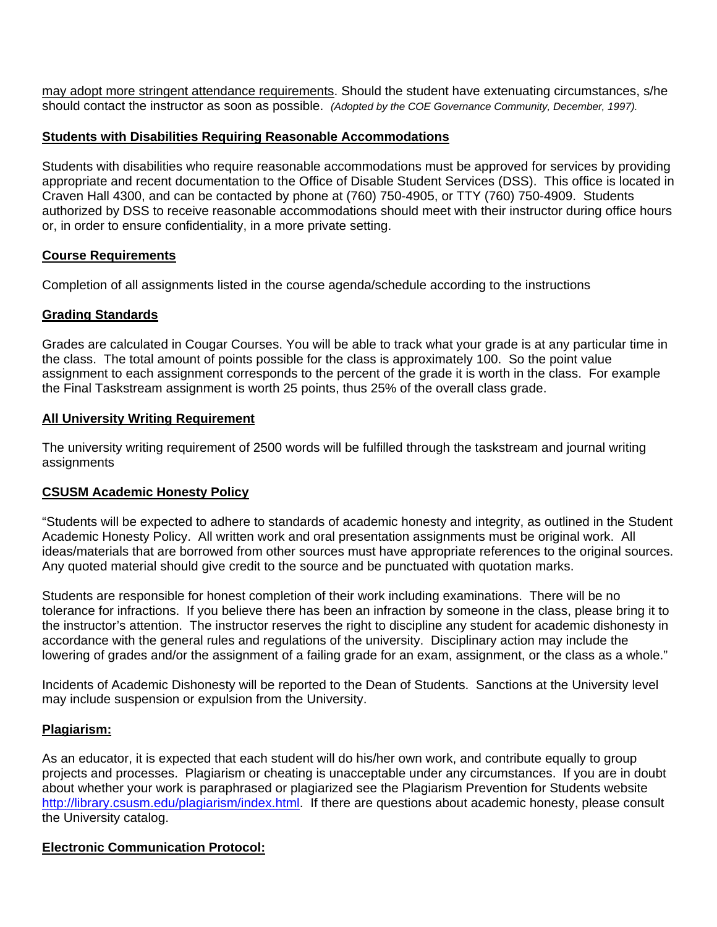should contact the instructor as soon as possible. *(Adopted by the COE Governance Community, December, 1997).* may adopt more stringent attendance requirements. Should the student have extenuating circumstances, s/he

### **Students with Disabilities Requiring Reasonable Accommodations**

Students with disabilities who require reasonable accommodations must be approved for services by providing appropriate and recent documentation to the Office of Disable Student Services (DSS). This office is located in Craven Hall 4300, and can be contacted by phone at (760) 750-4905, or TTY (760) 750-4909. Students authorized by DSS to receive reasonable accommodations should meet with their instructor during office hours or, in order to ensure confidentiality, in a more private setting.

## **Course Requirements**

Completion of all assignments listed in the course agenda/schedule according to the instructions

## **Grading Standards**

Grades are calculated in Cougar Courses. You will be able to track what your grade is at any particular time in the class. The total amount of points possible for the class is approximately 100. So the point value assignment to each assignment corresponds to the percent of the grade it is worth in the class. For example the Final Taskstream assignment is worth 25 points, thus 25% of the overall class grade.

## **All University Writing Requirement**

The university writing requirement of 2500 words will be fulfilled through the taskstream and journal writing assignments

#### **CSUSM Academic Honesty Policy**

"Students will be expected to adhere to standards of academic honesty and integrity, as outlined in the Student Academic Honesty Policy. All written work and oral presentation assignments must be original work. All ideas/materials that are borrowed from other sources must have appropriate references to the original sources. Any quoted material should give credit to the source and be punctuated with quotation marks.

Students are responsible for honest completion of their work including examinations. There will be no tolerance for infractions. If you believe there has been an infraction by someone in the class, please bring it to the instructor's attention. The instructor reserves the right to discipline any student for academic dishonesty in accordance with the general rules and regulations of the university. Disciplinary action may include the lowering of grades and/or the assignment of a failing grade for an exam, assignment, or the class as a whole."

Incidents of Academic Dishonesty will be reported to the Dean of Students. Sanctions at the University level may include suspension or expulsion from the University.

# **Plagiarism:**

As an educator, it is expected that each student will do his/her own work, and contribute equally to group projects and processes. Plagiarism or cheating is unacceptable under any circumstances. If you are in doubt about whether your work is paraphrased or plagiarized see the Plagiarism Prevention for Students website http://library.csusm.edu/plagiarism/index.html. If there are questions about academic honesty, please consult the University catalog.

#### **Electronic Communication Protocol:**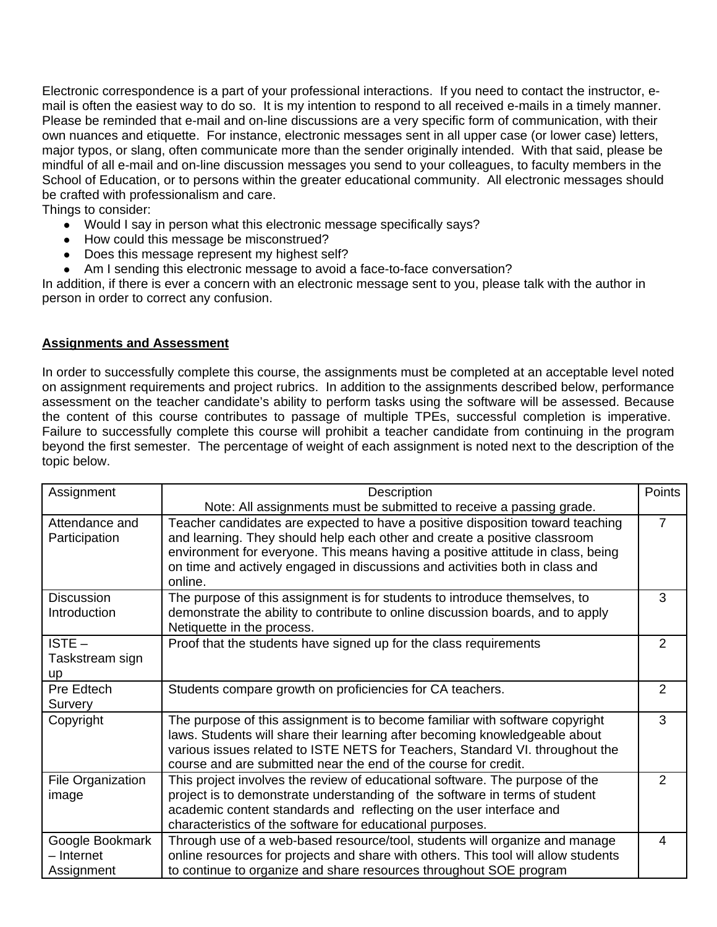Electronic correspondence is a part of your professional interactions. If you need to contact the instructor, email is often the easiest way to do so. It is my intention to respond to all received e-mails in a timely manner. Please be reminded that e-mail and on-line discussions are a very specific form of communication, with their own nuances and etiquette. For instance, electronic messages sent in all upper case (or lower case) letters, major typos, or slang, often communicate more than the sender originally intended. With that said, please be mindful of all e-mail and on-line discussion messages you send to your colleagues, to faculty members in the School of Education, or to persons within the greater educational community. All electronic messages should be crafted with professionalism and care.

Things to consider:

- Would I say in person what this electronic message specifically says?
- How could this message be misconstrued?
- Does this message represent my highest self?
- Am I sending this electronic message to avoid a face-to-face conversation?

In addition, if there is ever a concern with an electronic message sent to you, please talk with the author in person in order to correct any confusion.

## **Assignments and Assessment**

In order to successfully complete this course, the assignments must be completed at an acceptable level noted on assignment requirements and project rubrics. In addition to the assignments described below, performance assessment on the teacher candidate's ability to perform tasks using the software will be assessed. Because the content of this course contributes to passage of multiple TPEs, successful completion is imperative. Failure to successfully complete this course will prohibit a teacher candidate from continuing in the program beyond the first semester. The percentage of weight of each assignment is noted next to the description of the topic below.

| Assignment                                  | Description                                                                                                                                                                                                                                                                                                                               | Points         |
|---------------------------------------------|-------------------------------------------------------------------------------------------------------------------------------------------------------------------------------------------------------------------------------------------------------------------------------------------------------------------------------------------|----------------|
|                                             | Note: All assignments must be submitted to receive a passing grade.                                                                                                                                                                                                                                                                       |                |
| Attendance and<br>Participation             | Teacher candidates are expected to have a positive disposition toward teaching<br>and learning. They should help each other and create a positive classroom<br>environment for everyone. This means having a positive attitude in class, being<br>on time and actively engaged in discussions and activities both in class and<br>online. | $\overline{7}$ |
| <b>Discussion</b><br>Introduction           | The purpose of this assignment is for students to introduce themselves, to<br>demonstrate the ability to contribute to online discussion boards, and to apply<br>Netiquette in the process.                                                                                                                                               | 3              |
| $ISTE -$<br>Taskstream sign<br><b>up</b>    | Proof that the students have signed up for the class requirements                                                                                                                                                                                                                                                                         | $\overline{2}$ |
| Pre Edtech<br>Survery                       | Students compare growth on proficiencies for CA teachers.                                                                                                                                                                                                                                                                                 | 2              |
| Copyright                                   | The purpose of this assignment is to become familiar with software copyright<br>laws. Students will share their learning after becoming knowledgeable about<br>various issues related to ISTE NETS for Teachers, Standard VI. throughout the<br>course and are submitted near the end of the course for credit.                           | 3              |
| File Organization<br>image                  | This project involves the review of educational software. The purpose of the<br>project is to demonstrate understanding of the software in terms of student<br>academic content standards and reflecting on the user interface and<br>characteristics of the software for educational purposes.                                           | 2              |
| Google Bookmark<br>- Internet<br>Assignment | Through use of a web-based resource/tool, students will organize and manage<br>online resources for projects and share with others. This tool will allow students<br>to continue to organize and share resources throughout SOE program                                                                                                   | 4              |